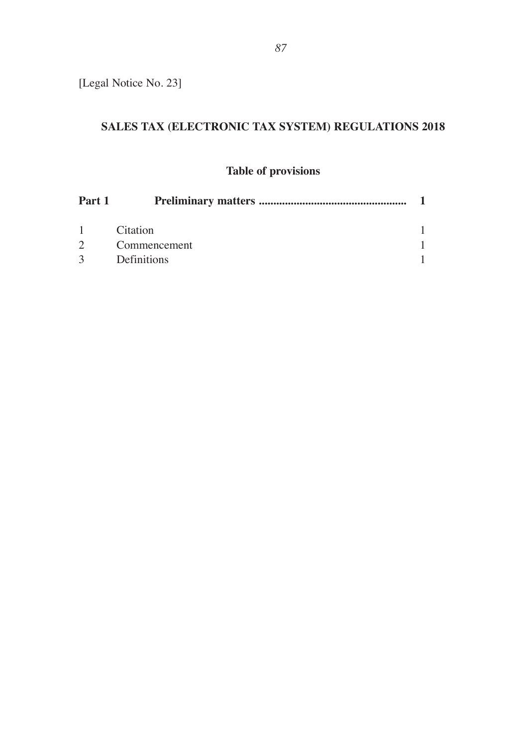[Legal Notice No. 23]

# **SALES TAX (ELECTRONIC TAX SYSTEM) REGULATIONS 2018**

## **Table of provisions**

| Part 1        |                 |  |
|---------------|-----------------|--|
| $\mathbf{1}$  | <b>Citation</b> |  |
| $\mathcal{D}$ | Commencement    |  |
| $\mathcal{R}$ | Definitions     |  |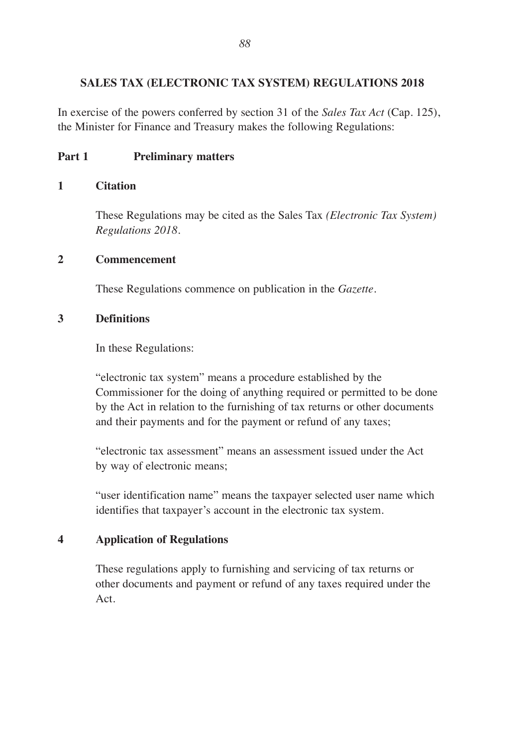#### **SALES TAX (ELECTRONIC TAX SYSTEM) REGULATIONS 2018**

In exercise of the powers conferred by section 31 of the *Sales Tax Act* (Cap. 125), the Minister for Finance and Treasury makes the following Regulations:

#### **Part 1 Preliminary matters**

#### **1 Citation**

These Regulations may be cited as the Sales Tax *(Electronic Tax System) Regulations 2018.*

#### **2 Commencement**

These Regulations commence on publication in the *Gazette.*

#### **3 Definitions**

In these Regulations:

"electronic tax system" means a procedure established by the Commissioner for the doing of anything required or permitted to be done by the Act in relation to the furnishing of tax returns or other documents and their payments and for the payment or refund of any taxes;

"electronic tax assessment" means an assessment issued under the Act by way of electronic means;

"user identification name" means the taxpayer selected user name which identifies that taxpayer's account in the electronic tax system.

#### **4 Application of Regulations**

These regulations apply to furnishing and servicing of tax returns or other documents and payment or refund of any taxes required under the Act.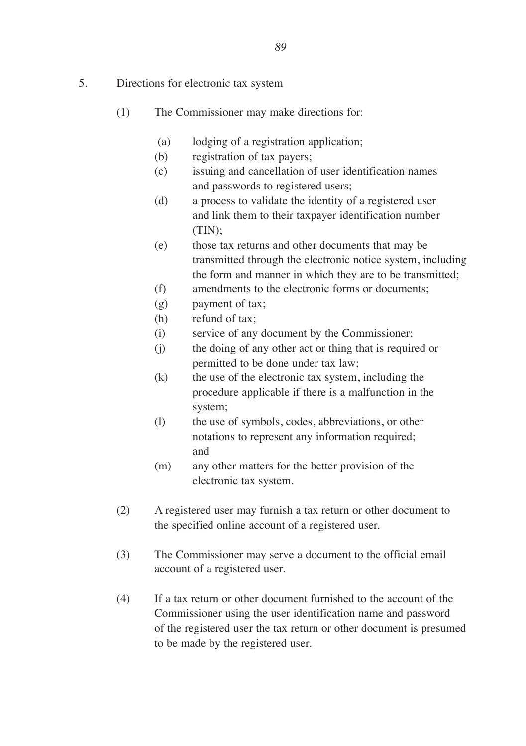- 5. Directions for electronic tax system
	- (1) The Commissioner may make directions for:
		- (a) lodging of a registration application;
		- (b) registration of tax payers;
		- (c) issuing and cancellation of user identification names and passwords to registered users;
		- (d) a process to validate the identity of a registered user and link them to their taxpayer identification number (TIN);
		- (e) those tax returns and other documents that may be transmitted through the electronic notice system, including the form and manner in which they are to be transmitted;
		- (f) amendments to the electronic forms or documents;
		- (g) payment of tax;
		- (h) refund of tax;
		- (i) service of any document by the Commissioner;
		- (j) the doing of any other act or thing that is required or permitted to be done under tax law;
		- (k) the use of the electronic tax system, including the procedure applicable if there is a malfunction in the system;
		- (l) the use of symbols, codes, abbreviations, or other notations to represent any information required; and
		- (m) any other matters for the better provision of the electronic tax system.
	- (2) A registered user may furnish a tax return or other document to the specified online account of a registered user.
	- (3) The Commissioner may serve a document to the official email account of a registered user.
	- (4) If a tax return or other document furnished to the account of the Commissioner using the user identification name and password of the registered user the tax return or other document is presumed to be made by the registered user.